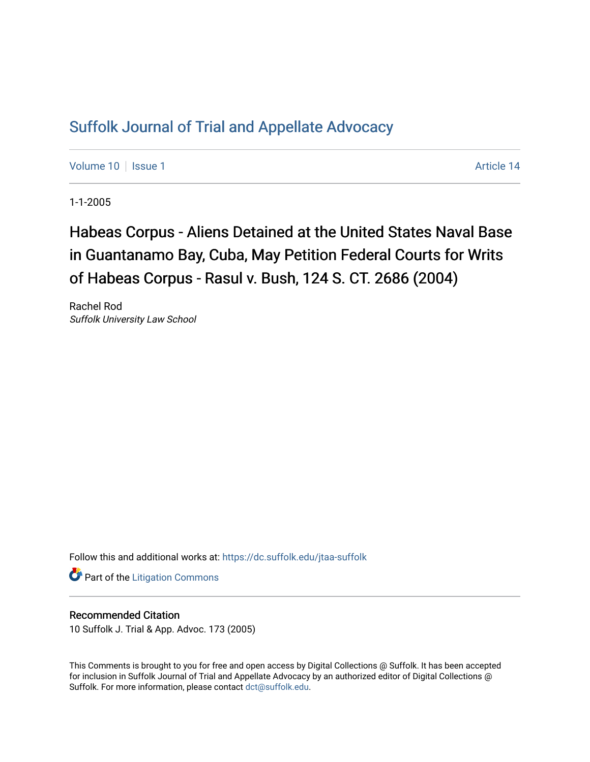# [Suffolk Journal of Trial and Appellate Advocacy](https://dc.suffolk.edu/jtaa-suffolk)

[Volume 10](https://dc.suffolk.edu/jtaa-suffolk/vol10) | [Issue 1](https://dc.suffolk.edu/jtaa-suffolk/vol10/iss1) Article 14

1-1-2005

# Habeas Corpus - Aliens Detained at the United States Naval Base in Guantanamo Bay, Cuba, May Petition Federal Courts for Writs of Habeas Corpus - Rasul v. Bush, 124 S. CT. 2686 (2004)

Rachel Rod Suffolk University Law School

Follow this and additional works at: [https://dc.suffolk.edu/jtaa-suffolk](https://dc.suffolk.edu/jtaa-suffolk?utm_source=dc.suffolk.edu%2Fjtaa-suffolk%2Fvol10%2Fiss1%2F14&utm_medium=PDF&utm_campaign=PDFCoverPages) 

**Part of the [Litigation Commons](https://network.bepress.com/hgg/discipline/910?utm_source=dc.suffolk.edu%2Fjtaa-suffolk%2Fvol10%2Fiss1%2F14&utm_medium=PDF&utm_campaign=PDFCoverPages)** 

# Recommended Citation

10 Suffolk J. Trial & App. Advoc. 173 (2005)

This Comments is brought to you for free and open access by Digital Collections @ Suffolk. It has been accepted for inclusion in Suffolk Journal of Trial and Appellate Advocacy by an authorized editor of Digital Collections @ Suffolk. For more information, please contact [dct@suffolk.edu.](mailto:dct@suffolk.edu)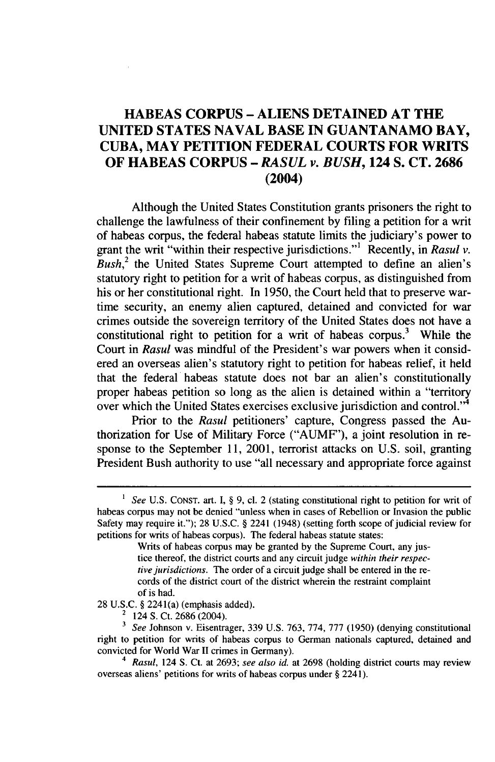# **HABEAS CORPUS - ALIENS DETAINED AT THE UNITED STATES NAVAL BASE IN GUANTANAMO BAY, CUBA, MAY PETITION FEDERAL COURTS FOR WRITS OF HABEAS CORPUS -** *RASUL v. BUSH,* **124 S. CT. 2686 (2004)**

Although the United States Constitution grants prisoners the right to challenge the lawfulness of their confinement by filing a petition for a writ of habeas corpus, the federal habeas statute limits the judiciary's power to grant the writ "within their respective jurisdictions."' Recently, in *Rasul v. Bush,2* the United States Supreme Court attempted to define an alien's statutory right to petition for a writ of habeas corpus, as distinguished from his or her constitutional right. In 1950, the Court held that to preserve wartime security, an enemy alien captured, detained and convicted for war crimes outside the sovereign territory of the United States does not have a constitutional right to petition for a writ of habeas corpus.<sup>3</sup> While the Court in *Rasul* was mindful of the President's war powers when it considered an overseas alien's statutory right to petition for habeas relief, it held that the federal habeas statute does not bar an alien's constitutionally proper habeas petition so long as the alien is detained within a "territory over which the United States exercises exclusive jurisdiction and control."<sup>4</sup>

Prior to the *Rasul* petitioners' capture, Congress passed the Authorization for Use of Military Force ("AUMF"), a joint resolution in response to the September **11,** 2001, terrorist attacks on U.S. soil, granting President Bush authority to use "all necessary and appropriate force against

<sup>&</sup>lt;sup>1</sup> See U.S. CONST. art. I, § 9, cl. 2 (stating constitutional right to petition for writ of habeas corpus may not be denied "unless when in cases of Rebellion or Invasion the public Safety may require it."); 28 U.S.C. § 2241 (1948) (setting forth scope of judicial review for petitions for writs of habeas corpus). The federal habeas statute states:

Writs of habeas corpus may be granted by the Supreme Court, any justice thereof, the district courts and any circuit judge *within their respective jurisdictions.* The order of a circuit judge shall be entered in the records of the district court of the district wherein the restraint complaint of is had.

<sup>28</sup> U.S.C. § 2241(a) (emphasis added).

<sup>&</sup>lt;sup>2</sup> 124 S. Ct. 2686 (2004).

**<sup>3</sup>** *See* Johnson v. Eisentrager, 339 U.S. 763, 774, 777 (1950) (denying constitutional right to petition for writs of habeas corpus to German nationals captured, detained and convicted for World War **II** crimes in Germany).

<sup>4</sup>*Rasul,* 124 **S.** Ct. at 2693; *see also id.* at 2698 (holding district courts may review overseas aliens' petitions for writs of habeas corpus under § 2241).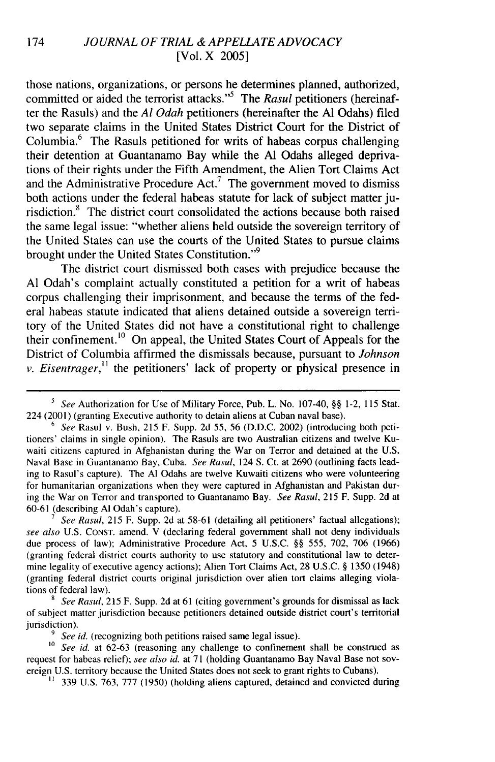## 174 *JOURNAL OF TRIAL & APPELLATE ADVOCACY* [Vol. X 2005]

those nations, organizations, or persons he determines planned, authorized, committed or aided the terrorist attacks."<sup>5</sup> The *Rasul* petitioners (hereinafter the Rasuls) and the *Al Odah* petitioners (hereinafter the **Al** Odahs) filed two separate claims in the United States District Court for the District of Columbia.6 The Rasuls petitioned for writs of habeas corpus challenging their detention at Guantanamo Bay while the **Al** Odahs alleged deprivations of their rights under the Fifth Amendment, the Alien Tort Claims Act and the Administrative Procedure Act.<sup>7</sup> The government moved to dismiss both actions under the federal habeas statute for lack of subject matter jurisdiction.8 The district court consolidated the actions because both raised the same legal issue: "whether aliens held outside the sovereign territory of the United States can use the courts of the United States to pursue claims brought under the United States Constitution."<sup>9</sup>

The district court dismissed both cases with prejudice because the **Al** Odah's complaint actually constituted a petition for a writ of habeas corpus challenging their imprisonment, and because the terms of the federal habeas statute indicated that aliens detained outside a sovereign territory of the United States did not have a constitutional right to challenge their confinement.<sup>10</sup> On appeal, the United States Court of Appeals for the District of Columbia affirmed the dismissals because, pursuant to *Johnson v. Eisentrager*,<sup>11</sup> the petitioners' lack of property or physical presence in

**7** *See Rasul,* 215 F. Supp. 2d at 58-61 (detailing all petitioners' factual allegations); *see also* U.S. CONST. amend. V (declaring federal government shall not deny individuals due process of law); Administrative Procedure Act, 5 U.S.C. §§ 555, 702, 706 (1966) (granting federal district courts authority to use statutory and constitutional law to determine legality of executive agency actions); Alien Tort Claims Act, 28 U.S.C. § 1350 (1948) (granting federal district courts original jurisdiction over alien tort claims alleging violations of federal law).

**8** *See Rasul,* 215 F. Supp. 2d at 61 (citing government's grounds for dismissal as lack of subject matter jurisdiction because petitioners detained outside district court's territorial jurisdiction).

**9** *See id.* (recognizing both petitions raised same legal issue).

**10** *See id.* at 62-63 (reasoning any challenge to confinement shall be construed as request for habeas relief); *see also id.* at 71 (holding Guantanamo Bay Naval Base not sovereign U.S. territory because the United States does not seek to grant rights to Cubans).

**"** 339 U.S. 763, 777 (1950) (holding aliens captured, detained and convicted during

**<sup>5</sup>** *See* Authorization for Use of Military Force, Pub. L. No. 107-40, §§ 1-2, 115 Stat. 224 (2001) (granting Executive authority to detain aliens at Cuban naval base).

<sup>6</sup> *See* Rasul v. Bush, 215 F. Supp. 2d 55, 56 (D.D.C. 2002) (introducing both petitioners' claims in single opinion). The Rasuls are two Australian citizens and twelve Kuwaiti citizens captured in Afghanistan during the War on Terror and detained at the U.S. Naval Base in Guantanamo Bay, Cuba. *See Rasul,* 124 S. Ct. at 2690 (outlining facts leading to Rasul's capture). The **Al** Odahs are twelve Kuwaiti citizens who were volunteering for humanitarian organizations when they were captured in Afghanistan and Pakistan during the War on Terror and transported to Guantanamo Bay. *See Rasul,* 215 F. Supp. 2d at 60-61 (describing **Al** Odah's capture).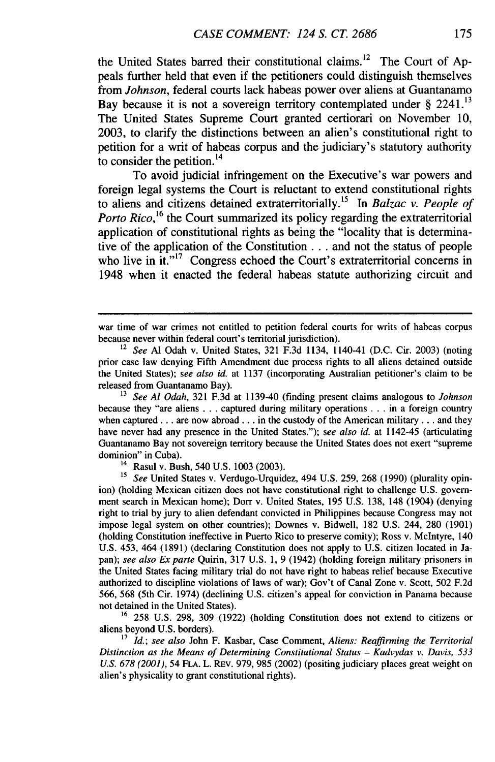the United States barred their constitutional claims.'2 The Court of Appeals further held that even if the petitioners could distinguish themselves from *Johnson,* federal courts lack habeas power over aliens at Guantanamo Bay because it is not a sovereign territory contemplated under  $\S$  2241.<sup>13</sup> The United States Supreme Court granted certiorari on November 10, 2003, to clarify the distinctions between an alien's constitutional right to petition for a writ of habeas corpus and the judiciary's statutory authority to consider the petition. <sup>14</sup>

To avoid judicial infringement on the Executive's war powers and foreign legal systems the Court is reluctant to extend constitutional rights to aliens and citizens detained extraterritorially. <sup>1</sup>5 In *Balzac v. People of* Porto Rico,<sup>16</sup> the Court summarized its policy regarding the extraterritorial application of constitutional rights as being the "locality that is determinative of the application of the Constitution **...** and not the status of people who live in  $it.^{17}$  Congress echoed the Court's extraterritorial concerns in 1948 when it enacted the federal habeas statute authorizing circuit and

<sup>16</sup> 258 U.S. 298, 309 (1922) (holding Constitution does not extend to citizens or aliens beyond U.S. borders).

**17** *Id.; see also* John F. Kasbar, Case Comment, *Aliens: Reaffirming the Territorial Distinction as the Means of Determining Constitutional Status - Kadvydas v. Davis, 533 U.S. 678 (2001),* 54 **FLA.** L. REv. 979, 985 (2002) (positing judiciary places great weight on alien's physicality to grant constitutional rights).

war time of war crimes not entitled to petition federal courts for writs of habeas corpus because never within federal court's territorial jurisdiction).

<sup>12</sup>*See* Al Odah v. United States, **321** F.3d 1134, 1140-41 (D.C. Cir. 2003) (noting prior case law denying Fifth Amendment due process rights to all aliens detained outside the United States); *see also id.* at **1137** (incorporating Australian petitioner's claim to be released from Guantanamo Bay).

**<sup>13</sup>***See Al Odah,* **321** F.3d at 1139-40 (finding present claims analogous to *Johnson* because they "are aliens **...** captured during military operations **..** in a foreign country when captured... are now abroad... in the custody of the American military... and they have never had any presence in the United States."); *see also id.* at 1142-45 (articulating Guantanamo Bay not sovereign territory because the United States does not exert "supreme dominion" in Cuba).

 $14$  Rasul v. Bush, 540 U.S. 1003 (2003).

**<sup>15</sup>** *See* United States v. Verdugo-Urquidez, 494 U.S. 259, 268 (1990) (plurality opinion) (holding Mexican citizen does not have constitutional right to challenge U.S. government search in Mexican home); Dorr v. United States, 195 U.S. 138, 148 (1904) (denying right to trial by jury to alien defendant convicted in Philippines because Congress may not impose legal system on other countries); Downes v. Bidwell, 182 U.S. 244, 280 (1901) (holding Constitution ineffective in Puerto Rico to preserve comity); Ross v. McIntyre, 140 U.S. 453, 464 (1891) (declaring Constitution does not apply to U.S. citizen located in Japan); *see also Ex parte* Quirin, 317 U.S. 1, 9 (1942) (holding foreign military prisoners in the United States facing military trial do not have right to habeas relief because Executive authorized to discipline violations of laws of war); Gov't of Canal Zone v. Scott, 502 F.2d 566, 568 (5th Cir. 1974) (declining U.S. citizen's appeal for conviction in Panama because not detained in the United States).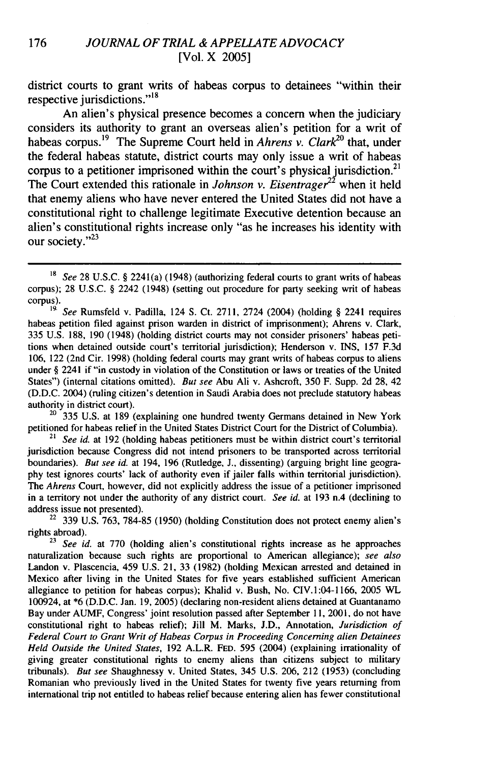district courts to grant writs of habeas corpus to detainees "within their respective jurisdictions."<sup>18</sup>

An alien's physical presence becomes a concern when the judiciary considers its authority to grant an overseas alien's petition for a writ of habeas corpus.19 The Supreme Court held in *Ahrens v. Clark2°* that, under the federal habeas statute, district courts may only issue a writ of habeas corpus to a petitioner imprisoned within the court's physical jurisdiction.<sup>21</sup> The Court extended this rationale in *Johnson v. Eisentrager22* when it held that enemy aliens who have never entered the United States did not have a constitutional right to challenge legitimate Executive detention because an alien's constitutional rights increase only "as he increases his identity with our society." $^{23}$ 

<sup>20</sup>335 U.S. at 189 (explaining one hundred twenty Germans detained in New York petitioned for habeas relief in the United States District Court for the District of Columbia).

<sup>21</sup>*See id.* at 192 (holding habeas petitioners must be within district court's territorial jurisdiction because Congress did not intend prisoners to be transported across territorial boundaries). *But see id.* at 194, 196 (Rutledge, **J.,** dissenting) (arguing bright line geography test ignores courts' lack of authority even if jailer falls within territorial jurisdiction). The *Ahrens* Court, however, did not explicitly address the issue of a petitioner imprisoned in a territory not under the authority of any district court. *See id.* at 193 n.4 (declining to address issue not presented).

 $22$  339 U.S. 763, 784-85 (1950) (holding Constitution does not protect enemy alien's rights abroad).

<sup>23</sup> See id. at 770 (holding alien's constitutional rights increase as he approaches naturalization because such rights are proportional to American allegiance); *see also* Landon v. Plascencia, 459 U.S. 21, 33 (1982) (holding Mexican arrested and detained in Mexico after living in the United States for five years established sufficient American allegiance to petition for habeas corpus); Khalid v. Bush, No. CIV.1:04-1166, 2005 WL 100924, at \*6 (D.D.C. Jan. 19, 2005) (declaring non-resident aliens detained at Guantanamo Bay under AUMF, Congress' joint resolution passed after September 11, 2001, do not have constitutional right to habeas relief); Jill M. Marks, J.D., Annotation, *Jurisdiction of Federal Court to Grant Writ of Habeas Corpus in Proceeding Concerning alien Detainees Held Outside the United States,* 192 A.L.R. FED. 595 (2004) (explaining irrationality of giving greater constitutional rights to enemy aliens than citizens subject to military tribunals). *But see* Shaughnessy v. United States, 345 U.S. 206, 212 (1953) (concluding Romanian who previously lived in the United States for twenty five years returning from international trip not entitled to habeas relief because entering alien has fewer constitutional

<sup>&</sup>lt;sup>18</sup> See 28 U.S.C. § 2241(a) (1948) (authorizing federal courts to grant writs of habeas corpus); 28 U.S.C. § 2242 (1948) (setting out procedure for party seeking writ of habeas corpus).

<sup>&</sup>lt;sup>19.</sup> See Rumsfeld v. Padilla, 124 S. Ct. 2711, 2724 (2004) (holding § 2241 requires habeas petition filed against prison warden in district of imprisonment); Ahrens v. Clark, 335 U.S. 188, 190 (1948) (holding district courts may not consider prisoners' habeas petitions when detained outside court's territorial jurisdiction); Henderson v. INS, 157 F.3d 106, 122 (2nd Cir. 1998) (holding federal courts may grant writs of habeas corpus to aliens under § 2241 if "in custody in violation of the Constitution or laws or treaties of the United States") (internal citations omitted). But *see* Abu Ali v. Ashcroft, 350 F. Supp. 2d 28, 42 (D.D.C. 2004) (ruling citizen's detention in Saudi Arabia does not preclude statutory habeas authority in district court).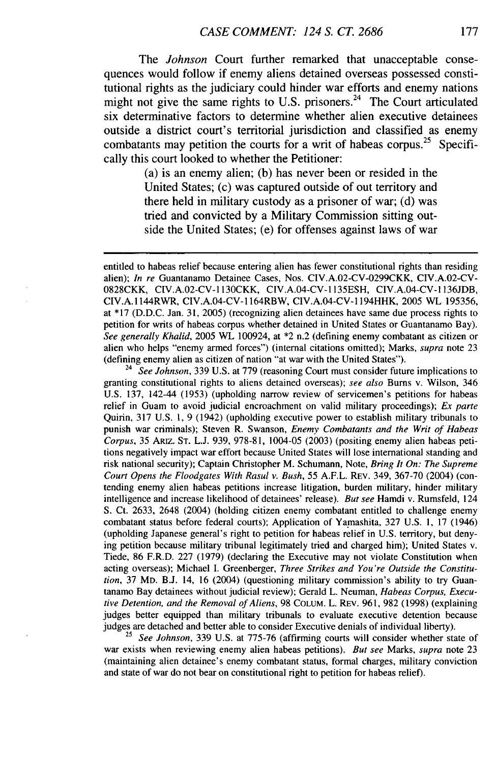The *Johnson* Court further remarked that unacceptable consequences would follow if enemy aliens detained overseas possessed constitutional rights as the judiciary could hinder war efforts and enemy nations might not give the same rights to U.S. prisoners.<sup>24</sup> The Court articulated six determinative factors to determine whether alien executive detainees outside a district court's territorial jurisdiction and classified as enemy combatants may petition the courts for a writ of habeas corpus.<sup>25</sup> Specifically this court looked to whether the Petitioner:

> (a) is an enemy alien; (b) has never been or resided in the United States; (c) was captured outside of out territory and there held in military custody as a prisoner of war; (d) was tried and convicted by a Military Commission sitting outside the United States; (e) for offenses against laws of war

entitled to habeas relief because entering alien has fewer constitutional rights than residing alien); *In re* Guantanamo Detainee Cases, Nos. CIV.A.02-CV-0299CKK, CIV.A.02-CV-0828CKK, CIV.A.02-CV-1130CKK, CIV.A.04-CV-1135ESH, CIV.A.04-CV-1136JDB, CIV.A. 1144RWR, CIV.A.04-CV-1164RBW, CIV.A.04-CV-1194HHK, 2005 WL 195356, at **\*17** (D.D.C. Jan. 31, 2005) (recognizing alien detainees have same due process rights to petition for writs of habeas corpus whether detained in United States or Guantanamo Bay). *See generally Khalid,* 2005 WL 100924, at \*2 n.2 (defining enemy combatant as citizen or alien who helps "enemy armed forces") (internal citations omitted); Marks, *supra* note 23 (defining enemy alien as citizen of nation "at war with the United States").

<sup>24</sup> See Johnson, 339 U.S. at 779 (reasoning Court must consider future implications to granting constitutional rights to aliens detained overseas); *see also* Burns v. Wilson, 346 U.S. 137, 142-44 (1953) (upholding narrow review of servicemen's petitions for habeas relief in Guam to avoid judicial encroachment on valid military proceedings); *Ex parte* Quirin, 317 U.S. 1, 9 (1942) (upholding executive power to establish military tribunals to punish war criminals); Steven R. Swanson, *Enemy Combatants and the Writ of Habeas* Corpus, 35 ARIZ. ST. L.J. 939, 978-81, 1004-05 (2003) (positing enemy alien habeas petitions negatively impact war effort because United States will lose international standing and risk national security); Captain Christopher M. Schumann, Note, *Bring It On: The Supreme Court Opens the Floodgates With Rasul v. Bush,* 55 A.F.L. REV. 349, 367-70 (2004) (contending enemy alien habeas petitions increase litigation, burden military, hinder military intelligence and increase likelihood of detainees' release). *But see* Hamdi v. Rumsfeld, 124 S. Ct. 2633, 2648 (2004) (holding citizen enemy combatant entitled to challenge enemy combatant status before federal courts); Application of Yamashita, 327 U.S. 1, 17 (1946) (upholding Japanese general's right to petition for habeas relief in U.S. territory, but denying petition because military tribunal legitimately tried and charged him); United States v. Tiede, 86 F.R.D. 227 (1979) (declaring the Executive may not violate Constitution when acting overseas); Michael I. Greenberger, *Three Strikes and You're Outside the Constitution,* 37 MD. B.J. 14, 16 (2004) (questioning military commission's ability to try Guantanamo Bay detainees without judicial review); Gerald L. Neuman, *Habeas Corpus, Executive Detention, and the Removal of Aliens,* 98 COLUM. L. REV. 961, 982 (1998) (explaining judges better equipped than military tribunals to evaluate executive detention because judges are detached and better able to consider Executive denials of individual liberty).

<sup>25</sup>*See Johnson,* 339 U.S. at 775-76 (affirming courts will consider whether state of war exists when reviewing enemy alien habeas petitions). *But see* Marks, *supra* note 23 (maintaining alien detainee's enemy combatant status, formal charges, military conviction and state of war do not bear on constitutional right to petition for habeas relief).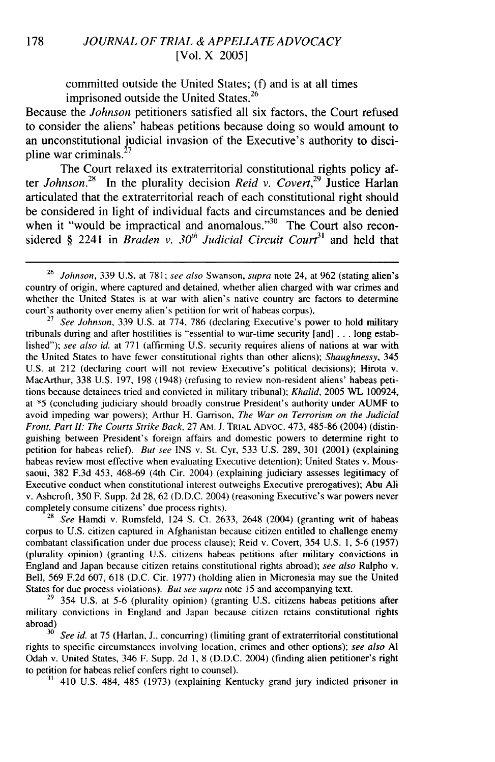committed outside the United States; (f) and is at all times imprisoned outside the United States.<sup>26</sup>

Because the *Johnson* petitioners satisfied all six factors, the Court refused to consider the aliens' habeas petitions because doing so would amount to an unconstitutional judicial invasion of the Executive's authority to discipline war criminals. $^{27}$ 

The Court relaxed its extraterritorial constitutional rights policy after *Johnson*<sup>28</sup> In the plurality decision *Reid v. Covert*<sup>29</sup> Justice Harlan articulated that the extraterritorial reach of each constitutional right should be considered in light of individual facts and circumstances and be denied when it "would be impractical and anomalous."<sup>30</sup> The Court also reconsidered § 2241 in *Braden v. 30<sup>th</sup> Judicial Circuit Court*<sup>31</sup> and held that

<sup>27</sup>*See Johnson,* 339 U.S. at 774, 786 (declaring Executive's power to hold military tribunals during and after hostilities is "essential to war-time security [and] ... long established"); *see also id.* at 771 (affirming U.S. security requires aliens of nations at war with the United States to have fewer constitutional rights than other aliens); *Shaughnessy,* 345 U.S. at 212 (declaring court will not review Executive's political decisions); Hirota v. MacArthur, 338 U.S. 197, 198 (1948) (refusing to review non-resident aliens' habeas petitions because detainees tried and convicted in military tribunal); *Khalid,* 2005 WL 100924, at \*5 (concluding judiciary should broadly construe President's authority under AUMF to avoid impeding war powers); Arthur H. Garrison, *The War on Terrorism on the Judicial Front, Part* I: *The Courts Strike Back,* 27 AM. **J.** TRIAL **ADVOC.** 473, 485-86 (2004) (distinguishing between President's foreign affairs and domestic powers to determine right to petition for habeas relief). *But see* INS v. St. Cyr, 533 U.S. 289, 301 (2001) (explaining habeas review most effective when evaluating Executive detention); United States v. Moussaoui, 382 F.3d 453, 468-69 (4th Cir. 2004) (explaining judiciary assesses legitimacy of Executive conduct when constitutional interest outweighs Executive prerogatives); Abu Ali v. Ashcroft, 350 F. Supp. 2d 28, 62 (D.D.C. 2004) (reasoning Executive's war powers never completely consume citizens' due process rights).

<sup>28</sup>*See* Hamdi v. Rumsfeld, 124 **S.** Ct. 2633, 2648 (2004) (granting writ of habeas corpus to U.S. citizen captured in Afghanistan because citizen entitled to challenge enemy combatant classification under due process clause); Reid v. Covert, 354 U.S. 1, 5-6 (1957) (plurality opinion) (granting U.S. citizens habeas petitions after military convictions in England and Japan because citizen retains constitutional rights abroad); *see also* Ralpho v. Bell, 569 F.2d 607, 618 (D.C. Cir. 1977) (holding alien in Micronesia may sue the United States for due process violations). *But see supra* note 15 and accompanying text.

 $29$  354 U.S. at 5-6 (plurality opinion) (granting U.S. citizens habeas petitions after military convictions in England and Japan because citizen retains constitutional rights abroad)

<sup>30</sup>*See id.* at 75 (Harlan, **J.,** concurring) (limiting grant of extraterritorial constitutional rights to specific circumstances involving location, crimes and other options); *see also Al* Odah v. United States, 346 F. Supp. 2d 1, 8 (D.D.C. 2004) (finding alien petitioner's right to petition for habeas relief confers right to counsel).

**"1** 410 U.S. 484, 485 (1973) (explaining Kentucky grand jury indicted prisoner in

<sup>26</sup>*Johnson,* 339 U.S. at 781; *see also* Swanson, *supra* note 24, at 962 (stating alien's country of origin, where captured and detained, whether alien charged with war crimes and whether the United States is at war with alien's native country are factors to determine court's authority over enemy alien's petition for writ of habeas corpus).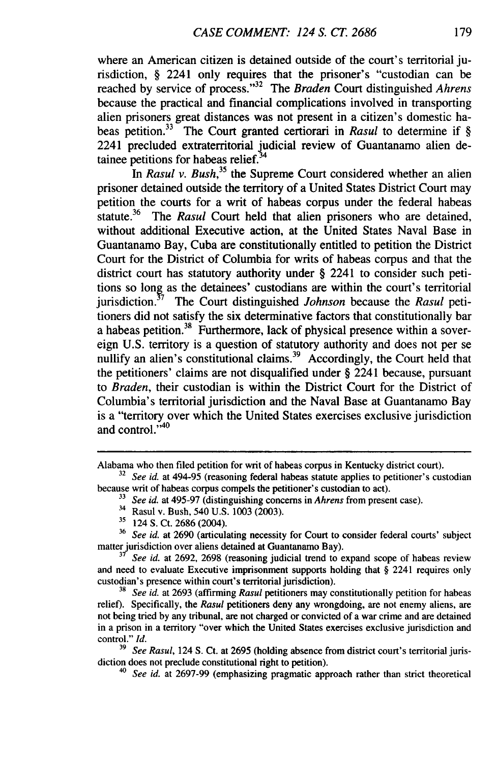where an American citizen is detained outside of the court's territorial jurisdiction, § 2241 only requires that the prisoner's "custodian can be reached by service of process."<sup>32</sup> The *Braden* Court distinguished *Ahrens* because the practical and financial complications involved in transporting alien prisoners great distances was not present in a citizen's domestic habeas petition.33 The Court granted certiorari in *Rasul* to determine if § 2241 precluded extraterritorial judicial review of Guantanamo alien detainee petitions for habeas relief.<sup>34</sup>

*In Rasul v. Bush,35* the Supreme Court considered whether an alien prisoner detained outside the territory of a United States District Court may petition the courts for a writ of habeas corpus under the federal habeas statute.<sup>36</sup> The *Rasul* Court held that alien prisoners who are detained, without additional Executive action, at the United States Naval Base in Guantanamo Bay, Cuba are constitutionally entitled to petition the District Court for the District of Columbia for writs of habeas corpus and that the district court has statutory authority under **§** 2241 to consider such petitions so long as the detainees' custodians are within the court's territorial jurisdiction.17 The Court distinguished *Johnson* because the *Rasul* petitioners did not satisfy the six determinative factors that constitutionally bar a habeas petition.<sup>38</sup> Furthermore, lack of physical presence within a sovereign U.S. territory is a question of statutory authority and does not per se nullify an alien's constitutional claims.<sup>39</sup> Accordingly, the Court held that the petitioners' claims are not disqualified under § 2241 because, pursuant to *Braden,* their custodian is within the District Court for the District of Columbia's territorial jurisdiction and the Naval Base at Guantanamo Bay is a "territory over which the United States exercises exclusive jurisdiction and control. $1.40$ 

Alabama who then filed petition for writ of habeas corpus in Kentucky district court).

<sup>&</sup>lt;sup>32</sup> *See id.* at 494-95 (reasoning federal habeas statute applies to petitioner's custodian because writ of habeas corpus compels the petitioner's custodian to act).

**<sup>&</sup>quot;** *See id.* at 495-97 (distinguishing concerns in *Ahrens* from present case).

<sup>&</sup>lt;sup>34</sup> Rasul v. Bush, 540 U.S. 1003 (2003).

**<sup>&</sup>quot;** 124 S. Ct. 2686 (2004).

<sup>36</sup>*See id.* at 2690 (articulating necessity for Court to consider federal courts' subject matter jurisdiction over aliens detained at Guantanamo Bay).

**<sup>37</sup>***See id.* at 2692, 2698 (reasoning judicial trend to expand scope of habeas review and need to evaluate Executive imprisonment supports holding that § 2241 requires only custodian's presence within court's territorial jurisdiction).

**<sup>38</sup>***See id.* at 2693 (affirming *Rasul* petitioners may constitutionally petition for habeas relief). Specifically, the *Rasul* petitioners deny any wrongdoing, are not enemy aliens, are not being tried by any tribunal, are not charged or convicted of a war crime and are detained in a prison in a territory "over which the United States exercises exclusive jurisdiction and control." *Id.*

**<sup>39</sup>** *See Rasul,* 124 **S.** Ct. at 2695 (holding absence from district court's territorial jurisdiction does not preclude constitutional right to petition).

*<sup>40</sup> See id.* at 2697-99 (emphasizing pragmatic approach rather than strict theoretical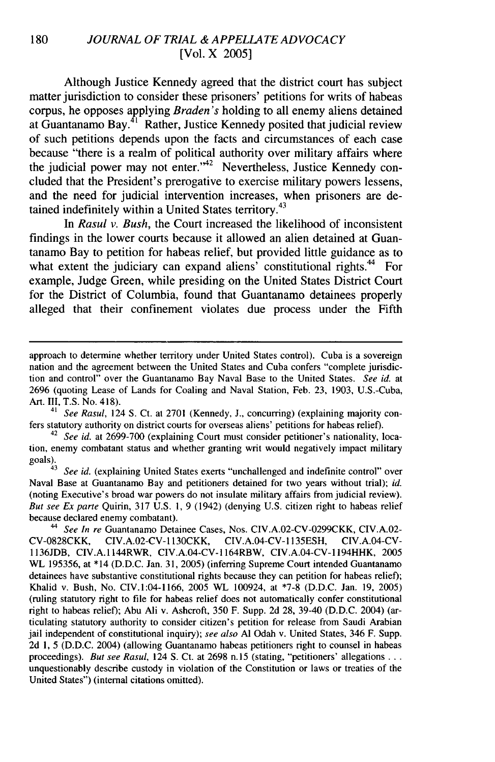## 180 *JOURNAL OF TRIAL & APPELLATE ADVOCACY* [Vol. X 2005]

Although Justice Kennedy agreed that the district court has subject matter jurisdiction to consider these prisoners' petitions for writs of habeas corpus, he opposes applying *Braden's* holding to all enemy aliens detained at Guantanamo Bay. $41$  Rather, Justice Kennedy posited that judicial review of such petitions depends upon the facts and circumstances of each case because "there is a realm of political authority over military affairs where the judicial power may not enter."<sup>42</sup> Nevertheless, Justice Kennedy concluded that the President's prerogative to exercise military powers lessens, and the need for judicial intervention increases, when prisoners are detained indefinitely within a United States territory.<sup>43</sup>

In *Rasul v. Bush,* the Court increased the likelihood of inconsistent findings in the lower courts because it allowed an alien detained at Guantanamo Bay to petition for habeas relief, but provided little guidance as to what extent the judiciary can expand aliens' constitutional rights.<sup>44</sup> For example, Judge Green, while presiding on the United States District Court for the District of Columbia, found that Guantanamo detainees properly alleged that their confinement violates due process under the Fifth

approach to determine whether territory under United States control). Cuba is a sovereign nation and the agreement between the United States and Cuba confers "complete jurisdiction and control" over the Guantanamo Bay Naval Base to the United States. *See id.* at 2696 (quoting Lease of Lands for Coaling and Naval Station, Feb. 23, 1903, U.S.-Cuba, Art. III, T.S. No. 418).

<sup>&</sup>lt;sup>41</sup> See Rasul, 124 S. Ct. at 2701 (Kennedy, J., concurring) (explaining majority confers statutory authority on district courts for overseas aliens' petitions for habeas relief).

<sup>&</sup>lt;sup>42</sup> *See id.* at 2699-700 (explaining Court must consider petitioner's nationality, location, enemy combatant status and whether granting writ would negatively impact military goals).

See id. (explaining United States exerts "unchallenged and indefinite control" over Naval Base at Guantanamo Bay and petitioners detained for two years without trial); *id.* (noting Executive's broad war powers do not insulate military affairs from judicial review). *But see Ex* parte Quirin, 317 U.S. **1,** 9 (1942) (denying U.S. citizen right to habeas relief because declared enemy combatant).

<sup>44</sup> *See In re* Guantanamo Detainee Cases, Nos. CIV.A.02-CV-0299CKK, CIV.A.02- CV-0828CKK, CIV.A.02-CV- 1130CKK, CIV.A.04-CV- 1135ESH, CIV.A.04-CV-1136JDB, CIV.A.1144RWR, CIV.A.04-CV-1164RBW, CIV.A.04-CV-1194HHK, 2005 WL 195356, at \*14 (D.D.C. Jan. 31, 2005) (inferring Supreme Court intended Guantanamo detainees have substantive constitutional rights because they can petition for habeas relief); Khalid v. Bush, No. CIV.1:04-1166, 2005 WL 100924, at \*7-8 (D.D.C. Jan. 19, 2005) (ruling statutory right to file for habeas relief does not automatically confer constitutional right to habeas relief); Abu Ali v. Ashcroft, 350 F. Supp. 2d 28, 39-40 (D.D.C. 2004) (articulating statutory authority to consider citizen's petition for release from Saudi Arabian jail independent of constitutional inquiry); *see also* **Al** Odah v. United States, 346 F. Supp. 2d 1, 5 (D.D.C. 2004) (allowing Guantanamo habeas petitioners right to counsel in habeas proceedings). *But see Rasul*, 124 S. Ct. at 2698 n.15 (stating, "petitioners' allegations ... unquestionably describe custody in violation of the Constitution or laws or treaties of the United States") (internal citations omitted).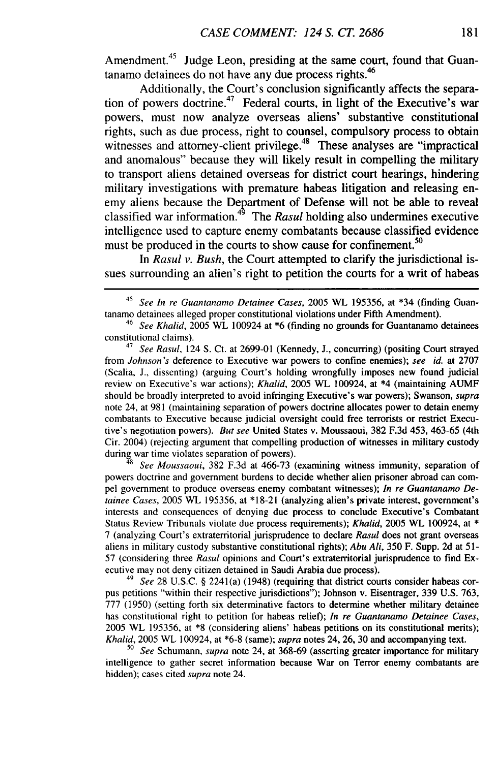Amendment.<sup>45</sup> Judge Leon, presiding at the same court, found that Guantanamo detainees do not have any due process rights.<sup>46</sup>

Additionally, the Court's conclusion significantly affects the separation of powers doctrine.<sup>47</sup> Federal courts, in light of the Executive's war powers, must now analyze overseas aliens' substantive constitutional rights, such as due process, right to counsel, compulsory process to obtain witnesses and attorney-client privilege.<sup>48</sup> These analyses are "impractical and anomalous" because they will likely result in compelling the military to transport aliens detained overseas for district court hearings, hindering military investigations with premature habeas litigation and releasing enemy aliens because the Department of Defense will not be able to reveal classified war information.<sup>49</sup> The *Rasul* holding also undermines executive intelligence used to capture enemy combatants because classified evidence must be produced in the courts to show cause for confinement.<sup>50</sup>

In *Rasul v. Bush,* the Court attempted to clarify the jurisdictional issues surrounding an alien's right to petition the courts for a writ of habeas

<sup>47</sup>*See Rasul,* 124 **S.** Ct. at 2699-01 (Kennedy, J., concurring) (positing Court strayed from *Johnson's* deference to Executive war powers to confine enemies); *see id.* at 2707 (Scalia, J., dissenting) (arguing Court's holding wrongfully imposes new found judicial review on Executive's war actions); *Khalid,* 2005 WL 100924, at \*4 (maintaining AUMF should be broadly interpreted to avoid infringing Executive's war powers); Swanson, *supra* note 24, at 981 (maintaining separation of powers doctrine allocates power to detain enemy combatants to Executive because judicial oversight could free terrorists or restrict Executive's negotiation powers). *But see* United States v. Moussaoui, 382 F.3d 453, 463-65 (4th Cir. 2004) (rejecting argument that compelling production of witnesses in military custody during war time violates separation of powers).

<sup>48</sup>*See Moussaoui,* 382 F.3d at 466-73 (examining witness immunity, separation of powers doctrine and government burdens to decide whether alien prisoner abroad can compel government to produce overseas enemy combatant witnesses); *In re Guantanamo Detainee Cases,* 2005 WL 195356, at \*18-21 (analyzing alien's private interest, government's interests and consequences of denying due process to conclude Executive's Combatant Status Review Tribunals violate due process requirements); *Khalid,* 2005 WL 100924, at \* 7 (analyzing Court's extraterritorial jurisprudence to declare *Rasul* does not grant overseas aliens in military custody substantive constitutional rights); *Abu Ali,* 350 F. Supp. 2d at 51- 57 (considering three *Rasul* opinions and Court's extraterritorial jurisprudence to find Executive may not deny citizen detained in Saudi Arabia due process).

49 *See* 28 U.S.C. § 2241(a) (1948) (requiring that district courts consider habeas corpus petitions "within their respective jurisdictions"); Johnson v. Eisentrager, 339 U.S. 763, 777 (1950) (setting forth six determinative factors to determine whether military detainee has constitutional right to petition for habeas relief); *In re Guantanamo Detainee Cases,* 2005 WL 195356, at \*8 (considering aliens' habeas petitions on its constitutional merits); Khalid,  $2005$  WL 100924, at \*6-8 (same); supra notes 24, 26, 30 and accompanying text.

*<sup>50</sup>See* Schumann, supra note 24, at 368-69 (asserting greater importance for military intelligence to gather secret information because War on Terror enemy combatants are hidden); cases cited *supra* note 24.

*<sup>45</sup> See In re Guantanamo Detainee Cases,* 2005 WL 195356, at \*34 (finding Guantanamo detainees alleged proper constitutional violations under Fifth Amendment).

<sup>46</sup>*See Khalid,* 2005 WL 100924 at \*6 (finding no grounds for Guantanamo detainees constitutional claims).